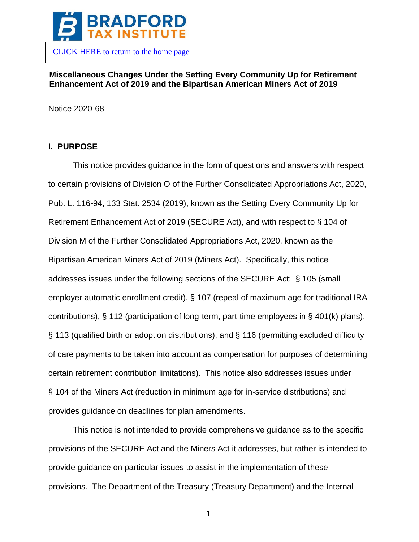

# **Miscellaneous Changes Under the Setting Every Community Up for Retirement Enhancement Act of 2019 and the Bipartisan American Miners Act of 2019**

Notice 2020-68

# **I. PURPOSE**

This notice provides guidance in the form of questions and answers with respect to certain provisions of Division O of the Further Consolidated Appropriations Act, 2020, Pub. L. 116-94, 133 Stat. 2534 (2019), known as the Setting Every Community Up for Retirement Enhancement Act of 2019 (SECURE Act), and with respect to § 104 of Division M of the Further Consolidated Appropriations Act, 2020, known as the Bipartisan American Miners Act of 2019 (Miners Act). Specifically, this notice addresses issues under the following sections of the SECURE Act: § 105 (small employer automatic enrollment credit), § 107 (repeal of maximum age for traditional IRA contributions), § 112 (participation of long-term, part-time employees in § 401(k) plans), § 113 (qualified birth or adoption distributions), and § 116 (permitting excluded difficulty of care payments to be taken into account as compensation for purposes of determining certain retirement contribution limitations). This notice also addresses issues under § 104 of the Miners Act (reduction in minimum age for in-service distributions) and provides guidance on deadlines for plan amendments.

This notice is not intended to provide comprehensive guidance as to the specific provisions of the SECURE Act and the Miners Act it addresses, but rather is intended to provide guidance on particular issues to assist in the implementation of these provisions. The Department of the Treasury (Treasury Department) and the Internal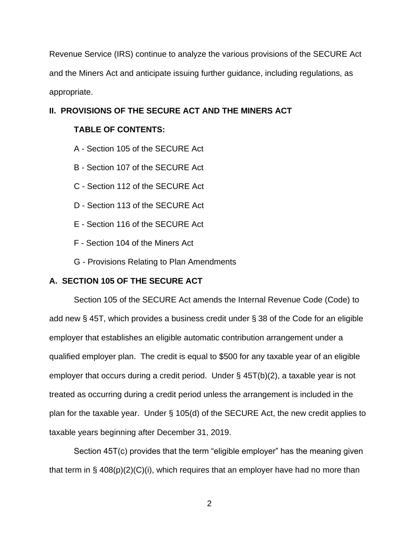Revenue Service (IRS) continue to analyze the various provisions of the SECURE Act and the Miners Act and anticipate issuing further guidance, including regulations, as appropriate.

# **II. PROVISIONS OF THE SECURE ACT AND THE MINERS ACT**

# **TABLE OF CONTENTS:**

- A Section 105 of the SECURE Act
- B Section 107 of the SECURE Act
- C Section 112 of the SECURE Act
- D Section 113 of the SECURE Act
- E Section 116 of the SECURE Act
- F Section 104 of the Miners Act
- G Provisions Relating to Plan Amendments

# **A. SECTION 105 OF THE SECURE ACT**

Section 105 of the SECURE Act amends the Internal Revenue Code (Code) to add new § 45T, which provides a business credit under § 38 of the Code for an eligible employer that establishes an eligible automatic contribution arrangement under a qualified employer plan. The credit is equal to \$500 for any taxable year of an eligible employer that occurs during a credit period. Under § 45T(b)(2), a taxable year is not treated as occurring during a credit period unless the arrangement is included in the plan for the taxable year. Under § 105(d) of the SECURE Act, the new credit applies to taxable years beginning after December 31, 2019.

Section 45T(c) provides that the term "eligible employer" has the meaning given that term in  $\S$  408(p)(2)(C)(i), which requires that an employer have had no more than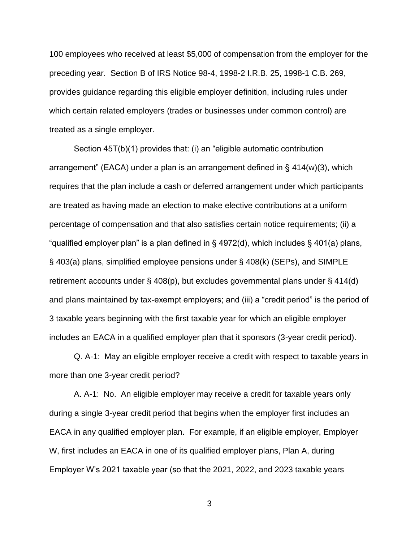100 employees who received at least \$5,000 of compensation from the employer for the preceding year. Section B of IRS Notice 98-4, 1998-2 I.R.B. 25, 1998-1 C.B. 269, provides guidance regarding this eligible employer definition, including rules under which certain related employers (trades or businesses under common control) are treated as a single employer.

Section 45T(b)(1) provides that: (i) an "eligible automatic contribution arrangement" (EACA) under a plan is an arrangement defined in § 414(w)(3), which requires that the plan include a cash or deferred arrangement under which participants are treated as having made an election to make elective contributions at a uniform percentage of compensation and that also satisfies certain notice requirements; (ii) a "qualified employer plan" is a plan defined in § 4972(d), which includes § 401(a) plans, § 403(a) plans, simplified employee pensions under § 408(k) (SEPs), and SIMPLE retirement accounts under § 408(p), but excludes governmental plans under § 414(d) and plans maintained by tax-exempt employers; and (iii) a "credit period" is the period of 3 taxable years beginning with the first taxable year for which an eligible employer includes an EACA in a qualified employer plan that it sponsors (3-year credit period).

Q. A-1: May an eligible employer receive a credit with respect to taxable years in more than one 3-year credit period?

A. A-1: No. An eligible employer may receive a credit for taxable years only during a single 3-year credit period that begins when the employer first includes an EACA in any qualified employer plan. For example, if an eligible employer, Employer W, first includes an EACA in one of its qualified employer plans, Plan A, during Employer W's 2021 taxable year (so that the 2021, 2022, and 2023 taxable years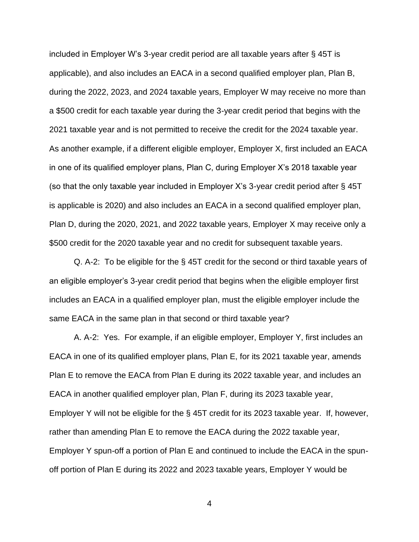included in Employer W's 3-year credit period are all taxable years after § 45T is applicable), and also includes an EACA in a second qualified employer plan, Plan B, during the 2022, 2023, and 2024 taxable years, Employer W may receive no more than a \$500 credit for each taxable year during the 3-year credit period that begins with the 2021 taxable year and is not permitted to receive the credit for the 2024 taxable year. As another example, if a different eligible employer, Employer X, first included an EACA in one of its qualified employer plans, Plan C, during Employer X's 2018 taxable year (so that the only taxable year included in Employer X's 3-year credit period after § 45T is applicable is 2020) and also includes an EACA in a second qualified employer plan, Plan D, during the 2020, 2021, and 2022 taxable years, Employer X may receive only a \$500 credit for the 2020 taxable year and no credit for subsequent taxable years.

Q. A-2: To be eligible for the § 45T credit for the second or third taxable years of an eligible employer's 3-year credit period that begins when the eligible employer first includes an EACA in a qualified employer plan, must the eligible employer include the same EACA in the same plan in that second or third taxable year?

A. A-2: Yes. For example, if an eligible employer, Employer Y, first includes an EACA in one of its qualified employer plans, Plan E, for its 2021 taxable year, amends Plan E to remove the EACA from Plan E during its 2022 taxable year, and includes an EACA in another qualified employer plan, Plan F, during its 2023 taxable year, Employer Y will not be eligible for the § 45T credit for its 2023 taxable year. If, however, rather than amending Plan E to remove the EACA during the 2022 taxable year, Employer Y spun-off a portion of Plan E and continued to include the EACA in the spunoff portion of Plan E during its 2022 and 2023 taxable years, Employer Y would be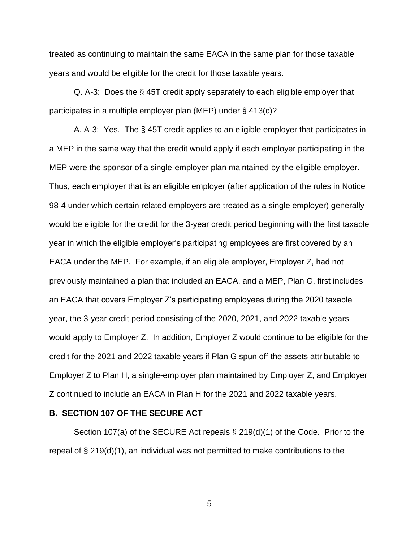treated as continuing to maintain the same EACA in the same plan for those taxable years and would be eligible for the credit for those taxable years.

Q. A-3: Does the § 45T credit apply separately to each eligible employer that participates in a multiple employer plan (MEP) under § 413(c)?

A. A-3: Yes. The § 45T credit applies to an eligible employer that participates in a MEP in the same way that the credit would apply if each employer participating in the MEP were the sponsor of a single-employer plan maintained by the eligible employer. Thus, each employer that is an eligible employer (after application of the rules in Notice 98-4 under which certain related employers are treated as a single employer) generally would be eligible for the credit for the 3-year credit period beginning with the first taxable year in which the eligible employer's participating employees are first covered by an EACA under the MEP. For example, if an eligible employer, Employer Z, had not previously maintained a plan that included an EACA, and a MEP, Plan G, first includes an EACA that covers Employer Z's participating employees during the 2020 taxable year, the 3-year credit period consisting of the 2020, 2021, and 2022 taxable years would apply to Employer Z. In addition, Employer Z would continue to be eligible for the credit for the 2021 and 2022 taxable years if Plan G spun off the assets attributable to Employer Z to Plan H, a single-employer plan maintained by Employer Z, and Employer Z continued to include an EACA in Plan H for the 2021 and 2022 taxable years.

#### **B. SECTION 107 OF THE SECURE ACT**

Section 107(a) of the SECURE Act repeals § 219(d)(1) of the Code. Prior to the repeal of § 219(d)(1), an individual was not permitted to make contributions to the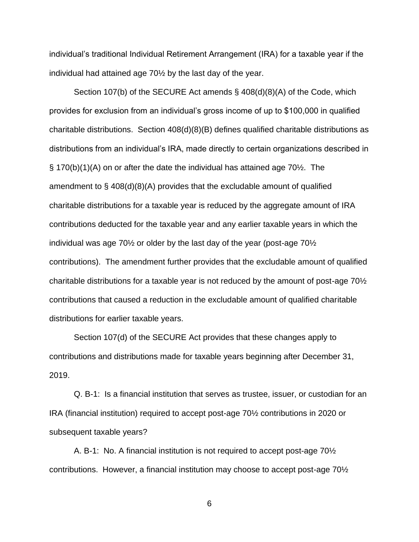individual's traditional Individual Retirement Arrangement (IRA) for a taxable year if the individual had attained age 70½ by the last day of the year.

Section 107(b) of the SECURE Act amends § 408(d)(8)(A) of the Code, which provides for exclusion from an individual's gross income of up to \$100,000 in qualified charitable distributions. Section 408(d)(8)(B) defines qualified charitable distributions as distributions from an individual's IRA, made directly to certain organizations described in § 170(b)(1)(A) on or after the date the individual has attained age 70½. The amendment to  $\S$  408(d)(8)(A) provides that the excludable amount of qualified charitable distributions for a taxable year is reduced by the aggregate amount of IRA contributions deducted for the taxable year and any earlier taxable years in which the individual was age 70½ or older by the last day of the year (post-age 70½ contributions). The amendment further provides that the excludable amount of qualified charitable distributions for a taxable year is not reduced by the amount of post-age 70½ contributions that caused a reduction in the excludable amount of qualified charitable distributions for earlier taxable years.

Section 107(d) of the SECURE Act provides that these changes apply to contributions and distributions made for taxable years beginning after December 31, 2019.

Q. B-1: Is a financial institution that serves as trustee, issuer, or custodian for an IRA (financial institution) required to accept post-age 70½ contributions in 2020 or subsequent taxable years?

A. B-1: No. A financial institution is not required to accept post-age 70½ contributions. However, a financial institution may choose to accept post-age 70½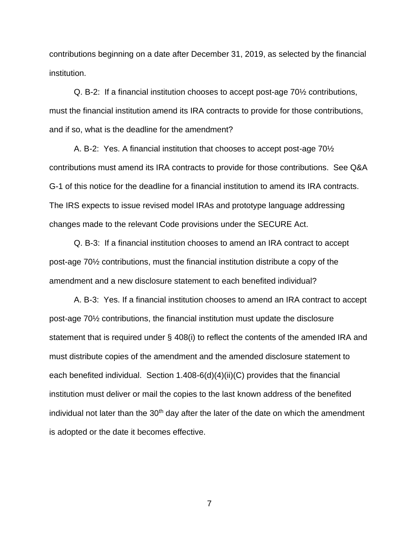contributions beginning on a date after December 31, 2019, as selected by the financial institution.

Q. B-2: If a financial institution chooses to accept post-age 70½ contributions, must the financial institution amend its IRA contracts to provide for those contributions, and if so, what is the deadline for the amendment?

A. B-2: Yes. A financial institution that chooses to accept post-age 70½ contributions must amend its IRA contracts to provide for those contributions. See Q&A G-1 of this notice for the deadline for a financial institution to amend its IRA contracts. The IRS expects to issue revised model IRAs and prototype language addressing changes made to the relevant Code provisions under the SECURE Act.

Q. B-3: If a financial institution chooses to amend an IRA contract to accept post-age 70½ contributions, must the financial institution distribute a copy of the amendment and a new disclosure statement to each benefited individual?

A. B-3: Yes. If a financial institution chooses to amend an IRA contract to accept post-age 70½ contributions, the financial institution must update the disclosure statement that is required under § 408(i) to reflect the contents of the amended IRA and must distribute copies of the amendment and the amended disclosure statement to each benefited individual. Section 1.408-6(d)(4)(ii)(C) provides that the financial institution must deliver or mail the copies to the last known address of the benefited individual not later than the  $30<sup>th</sup>$  day after the later of the date on which the amendment is adopted or the date it becomes effective.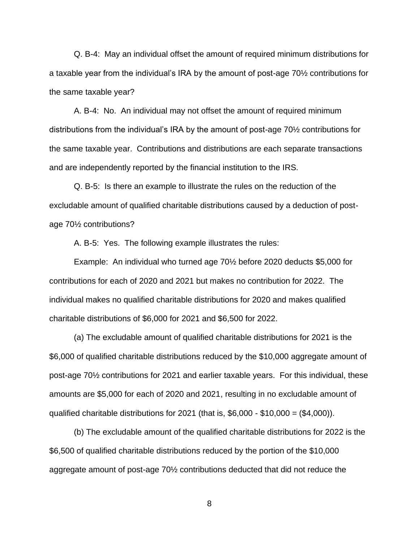Q. B-4: May an individual offset the amount of required minimum distributions for a taxable year from the individual's IRA by the amount of post-age 70½ contributions for the same taxable year?

A. B-4: No. An individual may not offset the amount of required minimum distributions from the individual's IRA by the amount of post-age 70½ contributions for the same taxable year. Contributions and distributions are each separate transactions and are independently reported by the financial institution to the IRS.

Q. B-5: Is there an example to illustrate the rules on the reduction of the excludable amount of qualified charitable distributions caused by a deduction of postage 70½ contributions?

A. B-5: Yes. The following example illustrates the rules:

Example: An individual who turned age 70½ before 2020 deducts \$5,000 for contributions for each of 2020 and 2021 but makes no contribution for 2022. The individual makes no qualified charitable distributions for 2020 and makes qualified charitable distributions of \$6,000 for 2021 and \$6,500 for 2022.

(a) The excludable amount of qualified charitable distributions for 2021 is the \$6,000 of qualified charitable distributions reduced by the \$10,000 aggregate amount of post-age 70½ contributions for 2021 and earlier taxable years. For this individual, these amounts are \$5,000 for each of 2020 and 2021, resulting in no excludable amount of qualified charitable distributions for 2021 (that is,  $$6,000 - $10,000 = ($4,000)$ ).

(b) The excludable amount of the qualified charitable distributions for 2022 is the \$6,500 of qualified charitable distributions reduced by the portion of the \$10,000 aggregate amount of post-age 70½ contributions deducted that did not reduce the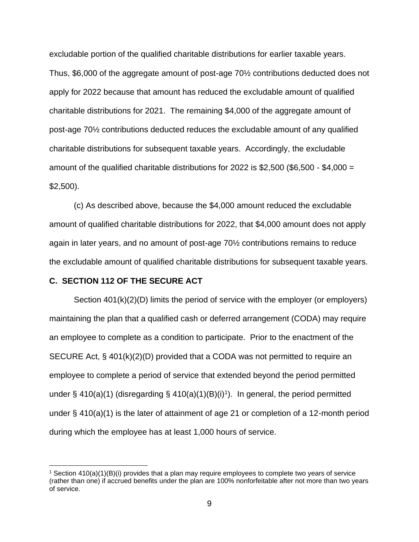excludable portion of the qualified charitable distributions for earlier taxable years. Thus, \$6,000 of the aggregate amount of post-age 70½ contributions deducted does not apply for 2022 because that amount has reduced the excludable amount of qualified charitable distributions for 2021. The remaining \$4,000 of the aggregate amount of post-age 70½ contributions deducted reduces the excludable amount of any qualified charitable distributions for subsequent taxable years. Accordingly, the excludable amount of the qualified charitable distributions for 2022 is \$2,500 (\$6,500 - \$4,000 = \$2,500).

(c) As described above, because the \$4,000 amount reduced the excludable amount of qualified charitable distributions for 2022, that \$4,000 amount does not apply again in later years, and no amount of post-age 70½ contributions remains to reduce the excludable amount of qualified charitable distributions for subsequent taxable years.

## **C. SECTION 112 OF THE SECURE ACT**

Section 401(k)(2)(D) limits the period of service with the employer (or employers) maintaining the plan that a qualified cash or deferred arrangement (CODA) may require an employee to complete as a condition to participate. Prior to the enactment of the SECURE Act, § 401(k)(2)(D) provided that a CODA was not permitted to require an employee to complete a period of service that extended beyond the period permitted under § 410(a)(1) (disregarding § 410(a)(1)(B)(i)<sup>1</sup>). In general, the period permitted under § 410(a)(1) is the later of attainment of age 21 or completion of a 12-month period during which the employee has at least 1,000 hours of service.

<sup>1</sup> Section 410(a)(1)(B)(i) provides that a plan may require employees to complete two years of service (rather than one) if accrued benefits under the plan are 100% nonforfeitable after not more than two years of service.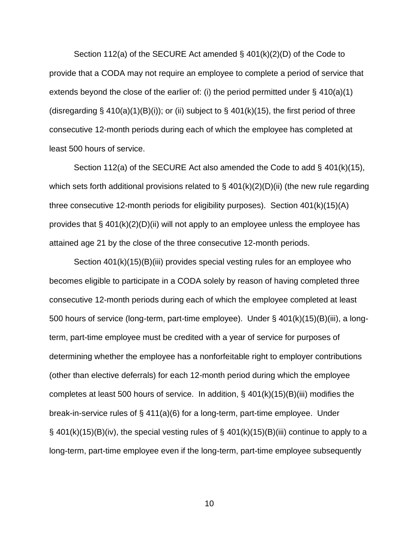Section 112(a) of the SECURE Act amended § 401(k)(2)(D) of the Code to provide that a CODA may not require an employee to complete a period of service that extends beyond the close of the earlier of: (i) the period permitted under § 410(a)(1) (disregarding  $\S$  410(a)(1)(B)(i)); or (ii) subject to  $\S$  401(k)(15), the first period of three consecutive 12-month periods during each of which the employee has completed at least 500 hours of service.

Section 112(a) of the SECURE Act also amended the Code to add  $\S$  401(k)(15), which sets forth additional provisions related to  $\S$  401(k)(2)(D)(ii) (the new rule regarding three consecutive 12-month periods for eligibility purposes). Section 401(k)(15)(A) provides that  $\S$  401(k)(2)(D)(ii) will not apply to an employee unless the employee has attained age 21 by the close of the three consecutive 12-month periods.

Section 401(k)(15)(B)(iii) provides special vesting rules for an employee who becomes eligible to participate in a CODA solely by reason of having completed three consecutive 12-month periods during each of which the employee completed at least 500 hours of service (long-term, part-time employee). Under § 401(k)(15)(B)(iii), a longterm, part-time employee must be credited with a year of service for purposes of determining whether the employee has a nonforfeitable right to employer contributions (other than elective deferrals) for each 12-month period during which the employee completes at least 500 hours of service. In addition, § 401(k)(15)(B)(iii) modifies the break-in-service rules of § 411(a)(6) for a long-term, part-time employee. Under  $\S$  401(k)(15)(B)(iv), the special vesting rules of  $\S$  401(k)(15)(B)(iii) continue to apply to a long-term, part-time employee even if the long-term, part-time employee subsequently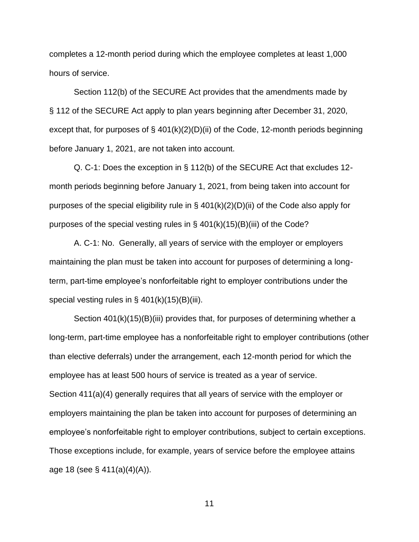completes a 12-month period during which the employee completes at least 1,000 hours of service.

Section 112(b) of the SECURE Act provides that the amendments made by § 112 of the SECURE Act apply to plan years beginning after December 31, 2020, except that, for purposes of § 401(k)(2)(D)(ii) of the Code, 12-month periods beginning before January 1, 2021, are not taken into account.

Q. C-1: Does the exception in § 112(b) of the SECURE Act that excludes 12 month periods beginning before January 1, 2021, from being taken into account for purposes of the special eligibility rule in  $\S$  401(k)(2)(D)(ii) of the Code also apply for purposes of the special vesting rules in  $\S$  401(k)(15)(B)(iii) of the Code?

A. C-1: No. Generally, all years of service with the employer or employers maintaining the plan must be taken into account for purposes of determining a longterm, part-time employee's nonforfeitable right to employer contributions under the special vesting rules in  $\S$  401(k)(15)(B)(iii).

Section 401(k)(15)(B)(iii) provides that, for purposes of determining whether a long-term, part-time employee has a nonforfeitable right to employer contributions (other than elective deferrals) under the arrangement, each 12-month period for which the employee has at least 500 hours of service is treated as a year of service. Section 411(a)(4) generally requires that all years of service with the employer or employers maintaining the plan be taken into account for purposes of determining an employee's nonforfeitable right to employer contributions, subject to certain exceptions. Those exceptions include, for example, years of service before the employee attains age 18 (see § 411(a)(4)(A)).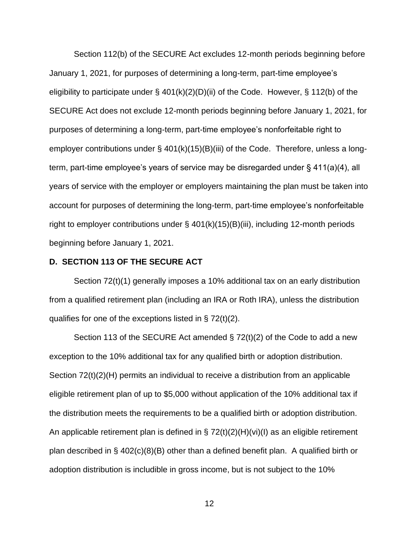Section 112(b) of the SECURE Act excludes 12-month periods beginning before January 1, 2021, for purposes of determining a long-term, part-time employee's eligibility to participate under  $\S$  401(k)(2)(D)(ii) of the Code. However,  $\S$  112(b) of the SECURE Act does not exclude 12-month periods beginning before January 1, 2021, for purposes of determining a long-term, part-time employee's nonforfeitable right to employer contributions under § 401(k)(15)(B)(iii) of the Code. Therefore, unless a longterm, part-time employee's years of service may be disregarded under § 411(a)(4), all years of service with the employer or employers maintaining the plan must be taken into account for purposes of determining the long-term, part-time employee's nonforfeitable right to employer contributions under  $\S$  401(k)(15)(B)(iii), including 12-month periods beginning before January 1, 2021.

#### **D. SECTION 113 OF THE SECURE ACT**

Section 72(t)(1) generally imposes a 10% additional tax on an early distribution from a qualified retirement plan (including an IRA or Roth IRA), unless the distribution qualifies for one of the exceptions listed in § 72(t)(2).

Section 113 of the SECURE Act amended § 72(t)(2) of the Code to add a new exception to the 10% additional tax for any qualified birth or adoption distribution. Section 72(t)(2)(H) permits an individual to receive a distribution from an applicable eligible retirement plan of up to \$5,000 without application of the 10% additional tax if the distribution meets the requirements to be a qualified birth or adoption distribution. An applicable retirement plan is defined in  $\S 72(t)(2)(H)(vi)(I)$  as an eligible retirement plan described in § 402(c)(8)(B) other than a defined benefit plan. A qualified birth or adoption distribution is includible in gross income, but is not subject to the 10%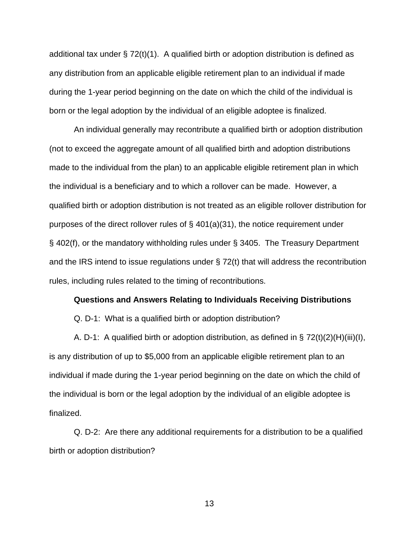additional tax under  $\S 72(t)(1)$ . A qualified birth or adoption distribution is defined as any distribution from an applicable eligible retirement plan to an individual if made during the 1-year period beginning on the date on which the child of the individual is born or the legal adoption by the individual of an eligible adoptee is finalized.

An individual generally may recontribute a qualified birth or adoption distribution (not to exceed the aggregate amount of all qualified birth and adoption distributions made to the individual from the plan) to an applicable eligible retirement plan in which the individual is a beneficiary and to which a rollover can be made. However, a qualified birth or adoption distribution is not treated as an eligible rollover distribution for purposes of the direct rollover rules of § 401(a)(31), the notice requirement under § 402(f), or the mandatory withholding rules under § 3405. The Treasury Department and the IRS intend to issue regulations under § 72(t) that will address the recontribution rules, including rules related to the timing of recontributions.

#### **Questions and Answers Relating to Individuals Receiving Distributions**

Q. D-1: What is a qualified birth or adoption distribution?

A. D-1: A qualified birth or adoption distribution, as defined in  $\S 72(t)(2)(H)(iii)(I)$ , is any distribution of up to \$5,000 from an applicable eligible retirement plan to an individual if made during the 1-year period beginning on the date on which the child of the individual is born or the legal adoption by the individual of an eligible adoptee is finalized.

Q. D-2: Are there any additional requirements for a distribution to be a qualified birth or adoption distribution?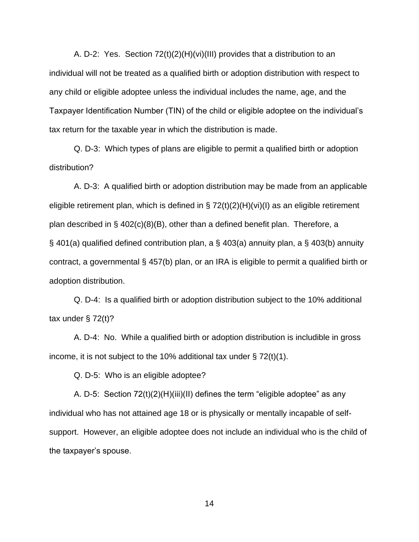A. D-2: Yes. Section 72(t)(2)(H)(vi)(III) provides that a distribution to an individual will not be treated as a qualified birth or adoption distribution with respect to any child or eligible adoptee unless the individual includes the name, age, and the Taxpayer Identification Number (TIN) of the child or eligible adoptee on the individual's tax return for the taxable year in which the distribution is made.

Q. D-3: Which types of plans are eligible to permit a qualified birth or adoption distribution?

A. D-3: A qualified birth or adoption distribution may be made from an applicable eligible retirement plan, which is defined in § 72(t)(2)(H)(vi)(I) as an eligible retirement plan described in § 402(c)(8)(B), other than a defined benefit plan. Therefore, a § 401(a) qualified defined contribution plan, a § 403(a) annuity plan, a § 403(b) annuity contract, a governmental § 457(b) plan, or an IRA is eligible to permit a qualified birth or adoption distribution.

Q. D-4: Is a qualified birth or adoption distribution subject to the 10% additional tax under  $\S$  72(t)?

A. D-4: No. While a qualified birth or adoption distribution is includible in gross income, it is not subject to the 10% additional tax under  $\S 72(t)(1)$ .

Q. D-5: Who is an eligible adoptee?

A. D-5: Section 72(t)(2)(H)(iii)(II) defines the term "eligible adoptee" as any individual who has not attained age 18 or is physically or mentally incapable of selfsupport. However, an eligible adoptee does not include an individual who is the child of the taxpayer's spouse.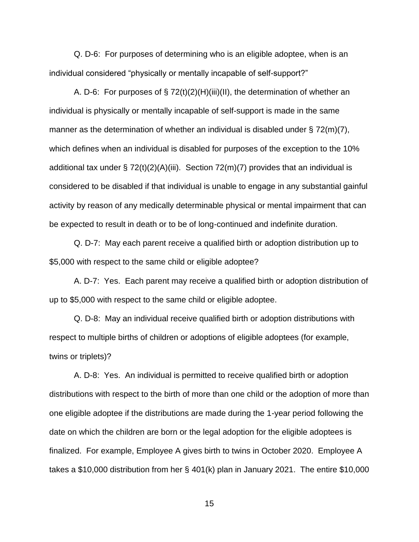Q. D-6: For purposes of determining who is an eligible adoptee, when is an individual considered "physically or mentally incapable of self-support?"

A. D-6: For purposes of  $\S 72(t)(2)(H)(iii)(II)$ , the determination of whether an individual is physically or mentally incapable of self-support is made in the same manner as the determination of whether an individual is disabled under § 72(m)(7), which defines when an individual is disabled for purposes of the exception to the 10% additional tax under  $\S 72(t)(2)(A)(iii)$ . Section 72(m)(7) provides that an individual is considered to be disabled if that individual is unable to engage in any substantial gainful activity by reason of any medically determinable physical or mental impairment that can be expected to result in death or to be of long-continued and indefinite duration.

Q. D-7: May each parent receive a qualified birth or adoption distribution up to \$5,000 with respect to the same child or eligible adoptee?

A. D-7: Yes. Each parent may receive a qualified birth or adoption distribution of up to \$5,000 with respect to the same child or eligible adoptee.

Q. D-8: May an individual receive qualified birth or adoption distributions with respect to multiple births of children or adoptions of eligible adoptees (for example, twins or triplets)?

A. D-8: Yes. An individual is permitted to receive qualified birth or adoption distributions with respect to the birth of more than one child or the adoption of more than one eligible adoptee if the distributions are made during the 1-year period following the date on which the children are born or the legal adoption for the eligible adoptees is finalized. For example, Employee A gives birth to twins in October 2020. Employee A takes a \$10,000 distribution from her § 401(k) plan in January 2021. The entire \$10,000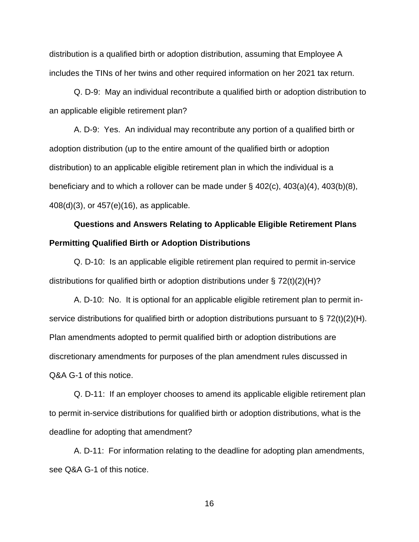distribution is a qualified birth or adoption distribution, assuming that Employee A includes the TINs of her twins and other required information on her 2021 tax return.

Q. D-9: May an individual recontribute a qualified birth or adoption distribution to an applicable eligible retirement plan?

A. D-9: Yes. An individual may recontribute any portion of a qualified birth or adoption distribution (up to the entire amount of the qualified birth or adoption distribution) to an applicable eligible retirement plan in which the individual is a beneficiary and to which a rollover can be made under  $\S$  402(c), 403(a)(4), 403(b)(8), 408(d)(3), or 457(e)(16), as applicable.

# **Questions and Answers Relating to Applicable Eligible Retirement Plans Permitting Qualified Birth or Adoption Distributions**

Q. D-10: Is an applicable eligible retirement plan required to permit in-service distributions for qualified birth or adoption distributions under  $\S 72(t)(2)(H)?$ 

A. D-10: No. It is optional for an applicable eligible retirement plan to permit inservice distributions for qualified birth or adoption distributions pursuant to  $\S 72(t)(2)(H)$ . Plan amendments adopted to permit qualified birth or adoption distributions are discretionary amendments for purposes of the plan amendment rules discussed in Q&A G-1 of this notice.

Q. D-11: If an employer chooses to amend its applicable eligible retirement plan to permit in-service distributions for qualified birth or adoption distributions, what is the deadline for adopting that amendment?

A. D-11: For information relating to the deadline for adopting plan amendments, see Q&A G-1 of this notice.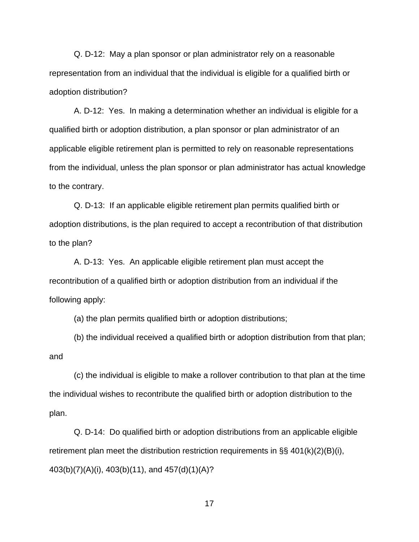Q. D-12: May a plan sponsor or plan administrator rely on a reasonable representation from an individual that the individual is eligible for a qualified birth or adoption distribution?

A. D-12: Yes. In making a determination whether an individual is eligible for a qualified birth or adoption distribution, a plan sponsor or plan administrator of an applicable eligible retirement plan is permitted to rely on reasonable representations from the individual, unless the plan sponsor or plan administrator has actual knowledge to the contrary.

Q. D-13: If an applicable eligible retirement plan permits qualified birth or adoption distributions, is the plan required to accept a recontribution of that distribution to the plan?

A. D-13: Yes. An applicable eligible retirement plan must accept the recontribution of a qualified birth or adoption distribution from an individual if the following apply:

(a) the plan permits qualified birth or adoption distributions;

(b) the individual received a qualified birth or adoption distribution from that plan; and

(c) the individual is eligible to make a rollover contribution to that plan at the time the individual wishes to recontribute the qualified birth or adoption distribution to the plan.

Q. D-14: Do qualified birth or adoption distributions from an applicable eligible retirement plan meet the distribution restriction requirements in §§ 401(k)(2)(B)(i), 403(b)(7)(A)(i), 403(b)(11), and 457(d)(1)(A)?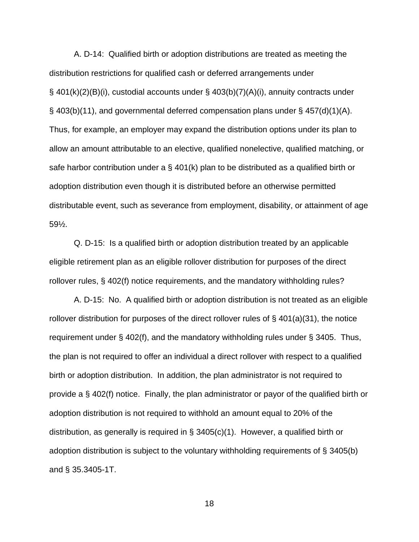A. D-14: Qualified birth or adoption distributions are treated as meeting the distribution restrictions for qualified cash or deferred arrangements under § 401(k)(2)(B)(i), custodial accounts under § 403(b)(7)(A)(i), annuity contracts under § 403(b)(11), and governmental deferred compensation plans under § 457(d)(1)(A). Thus, for example, an employer may expand the distribution options under its plan to allow an amount attributable to an elective, qualified nonelective, qualified matching, or safe harbor contribution under a  $\S$  401(k) plan to be distributed as a qualified birth or adoption distribution even though it is distributed before an otherwise permitted distributable event, such as severance from employment, disability, or attainment of age 59½.

Q. D-15: Is a qualified birth or adoption distribution treated by an applicable eligible retirement plan as an eligible rollover distribution for purposes of the direct rollover rules, § 402(f) notice requirements, and the mandatory withholding rules?

A. D-15: No. A qualified birth or adoption distribution is not treated as an eligible rollover distribution for purposes of the direct rollover rules of  $\S$  401(a)(31), the notice requirement under § 402(f), and the mandatory withholding rules under § 3405. Thus, the plan is not required to offer an individual a direct rollover with respect to a qualified birth or adoption distribution. In addition, the plan administrator is not required to provide a § 402(f) notice. Finally, the plan administrator or payor of the qualified birth or adoption distribution is not required to withhold an amount equal to 20% of the distribution, as generally is required in § 3405(c)(1). However, a qualified birth or adoption distribution is subject to the voluntary withholding requirements of § 3405(b) and § 35.3405-1T.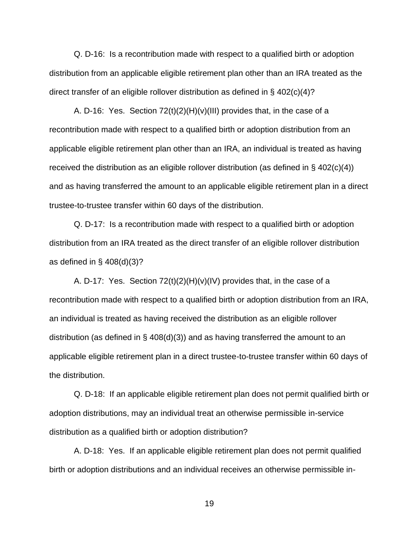Q. D-16: Is a recontribution made with respect to a qualified birth or adoption distribution from an applicable eligible retirement plan other than an IRA treated as the direct transfer of an eligible rollover distribution as defined in  $\S$  402(c)(4)?

A. D-16: Yes. Section 72(t)(2)(H)(v)(III) provides that, in the case of a recontribution made with respect to a qualified birth or adoption distribution from an applicable eligible retirement plan other than an IRA, an individual is treated as having received the distribution as an eligible rollover distribution (as defined in  $\S$  402(c)(4)) and as having transferred the amount to an applicable eligible retirement plan in a direct trustee-to-trustee transfer within 60 days of the distribution.

Q. D-17: Is a recontribution made with respect to a qualified birth or adoption distribution from an IRA treated as the direct transfer of an eligible rollover distribution as defined in  $\S$  408(d)(3)?

A. D-17: Yes. Section  $72(t)(2)(H)(v)(IV)$  provides that, in the case of a recontribution made with respect to a qualified birth or adoption distribution from an IRA, an individual is treated as having received the distribution as an eligible rollover distribution (as defined in  $\S$  408(d)(3)) and as having transferred the amount to an applicable eligible retirement plan in a direct trustee-to-trustee transfer within 60 days of the distribution.

Q. D-18: If an applicable eligible retirement plan does not permit qualified birth or adoption distributions, may an individual treat an otherwise permissible in-service distribution as a qualified birth or adoption distribution?

A. D-18: Yes. If an applicable eligible retirement plan does not permit qualified birth or adoption distributions and an individual receives an otherwise permissible in-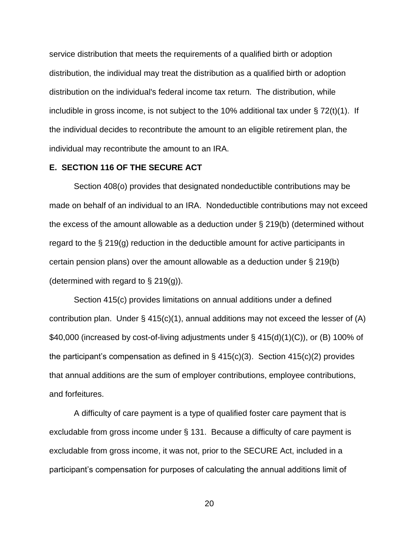service distribution that meets the requirements of a qualified birth or adoption distribution, the individual may treat the distribution as a qualified birth or adoption distribution on the individual's federal income tax return. The distribution, while includible in gross income, is not subject to the 10% additional tax under § 72(t)(1). If the individual decides to recontribute the amount to an eligible retirement plan, the individual may recontribute the amount to an IRA.

## **E. SECTION 116 OF THE SECURE ACT**

Section 408(o) provides that designated nondeductible contributions may be made on behalf of an individual to an IRA. Nondeductible contributions may not exceed the excess of the amount allowable as a deduction under § 219(b) (determined without regard to the § 219(g) reduction in the deductible amount for active participants in certain pension plans) over the amount allowable as a deduction under § 219(b) (determined with regard to  $\S$  219(g)).

Section 415(c) provides limitations on annual additions under a defined contribution plan. Under  $\S$  415(c)(1), annual additions may not exceed the lesser of (A) \$40,000 (increased by cost-of-living adjustments under § 415(d)(1)(C)), or (B) 100% of the participant's compensation as defined in  $\S$  415(c)(3). Section 415(c)(2) provides that annual additions are the sum of employer contributions, employee contributions, and forfeitures.

A difficulty of care payment is a type of qualified foster care payment that is excludable from gross income under § 131. Because a difficulty of care payment is excludable from gross income, it was not, prior to the SECURE Act, included in a participant's compensation for purposes of calculating the annual additions limit of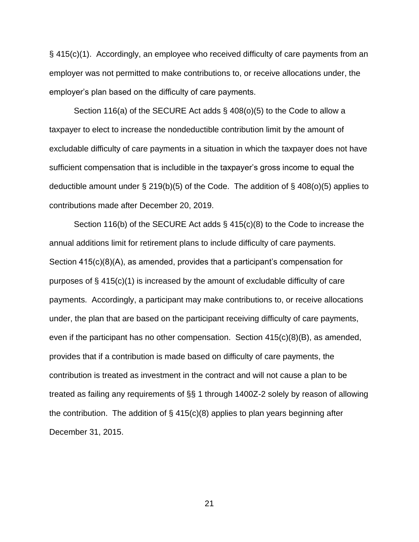§ 415(c)(1). Accordingly, an employee who received difficulty of care payments from an employer was not permitted to make contributions to, or receive allocations under, the employer's plan based on the difficulty of care payments.

Section 116(a) of the SECURE Act adds § 408(o)(5) to the Code to allow a taxpayer to elect to increase the nondeductible contribution limit by the amount of excludable difficulty of care payments in a situation in which the taxpayer does not have sufficient compensation that is includible in the taxpayer's gross income to equal the deductible amount under § 219(b)(5) of the Code. The addition of § 408(o)(5) applies to contributions made after December 20, 2019.

Section 116(b) of the SECURE Act adds § 415(c)(8) to the Code to increase the annual additions limit for retirement plans to include difficulty of care payments. Section 415(c)(8)(A), as amended, provides that a participant's compensation for purposes of § 415(c)(1) is increased by the amount of excludable difficulty of care payments. Accordingly, a participant may make contributions to, or receive allocations under, the plan that are based on the participant receiving difficulty of care payments, even if the participant has no other compensation. Section  $415(c)(8)(B)$ , as amended, provides that if a contribution is made based on difficulty of care payments, the contribution is treated as investment in the contract and will not cause a plan to be treated as failing any requirements of §§ 1 through 1400Z-2 solely by reason of allowing the contribution. The addition of  $\S$  415(c)(8) applies to plan years beginning after December 31, 2015.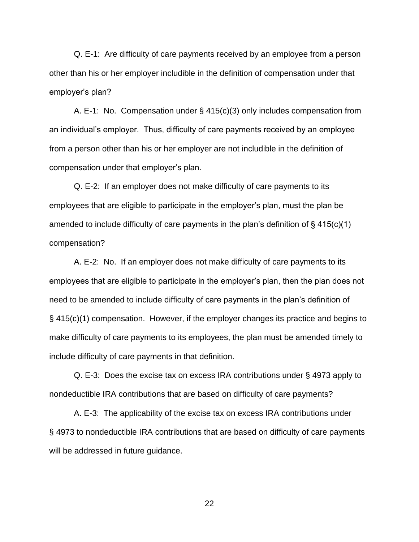Q. E-1: Are difficulty of care payments received by an employee from a person other than his or her employer includible in the definition of compensation under that employer's plan?

A. E-1: No. Compensation under § 415(c)(3) only includes compensation from an individual's employer. Thus, difficulty of care payments received by an employee from a person other than his or her employer are not includible in the definition of compensation under that employer's plan.

Q. E-2: If an employer does not make difficulty of care payments to its employees that are eligible to participate in the employer's plan, must the plan be amended to include difficulty of care payments in the plan's definition of  $\S$  415(c)(1) compensation?

A. E-2: No. If an employer does not make difficulty of care payments to its employees that are eligible to participate in the employer's plan, then the plan does not need to be amended to include difficulty of care payments in the plan's definition of § 415(c)(1) compensation. However, if the employer changes its practice and begins to make difficulty of care payments to its employees, the plan must be amended timely to include difficulty of care payments in that definition.

Q. E-3: Does the excise tax on excess IRA contributions under § 4973 apply to nondeductible IRA contributions that are based on difficulty of care payments?

A. E-3: The applicability of the excise tax on excess IRA contributions under § 4973 to nondeductible IRA contributions that are based on difficulty of care payments will be addressed in future guidance.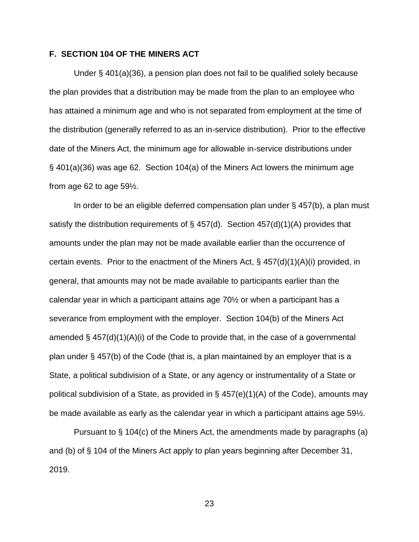## **F. SECTION 104 OF THE MINERS ACT**

Under § 401(a)(36), a pension plan does not fail to be qualified solely because the plan provides that a distribution may be made from the plan to an employee who has attained a minimum age and who is not separated from employment at the time of the distribution (generally referred to as an in-service distribution). Prior to the effective date of the Miners Act, the minimum age for allowable in-service distributions under § 401(a)(36) was age 62. Section 104(a) of the Miners Act lowers the minimum age from age 62 to age 59½.

In order to be an eligible deferred compensation plan under  $\S$  457(b), a plan must satisfy the distribution requirements of  $\S$  457(d). Section 457(d)(1)(A) provides that amounts under the plan may not be made available earlier than the occurrence of certain events. Prior to the enactment of the Miners Act,  $\S$  457(d)(1)(A)(i) provided, in general, that amounts may not be made available to participants earlier than the calendar year in which a participant attains age 70½ or when a participant has a severance from employment with the employer. Section 104(b) of the Miners Act amended  $\S$  457(d)(1)(A)(i) of the Code to provide that, in the case of a governmental plan under § 457(b) of the Code (that is, a plan maintained by an employer that is a State, a political subdivision of a State, or any agency or instrumentality of a State or political subdivision of a State, as provided in  $\S$  457(e)(1)(A) of the Code), amounts may be made available as early as the calendar year in which a participant attains age 59½.

Pursuant to § 104(c) of the Miners Act, the amendments made by paragraphs (a) and (b) of § 104 of the Miners Act apply to plan years beginning after December 31, 2019.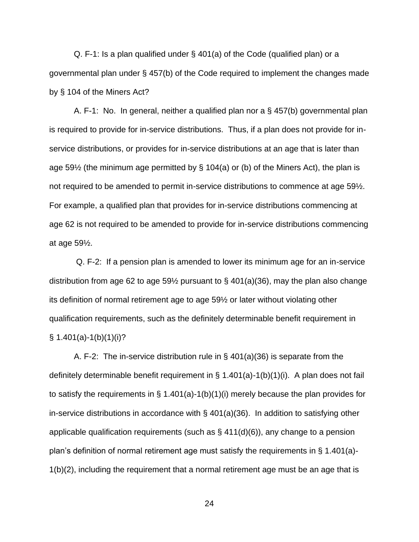Q. F-1: Is a plan qualified under § 401(a) of the Code (qualified plan) or a governmental plan under § 457(b) of the Code required to implement the changes made by § 104 of the Miners Act?

A. F-1: No. In general, neither a qualified plan nor a § 457(b) governmental plan is required to provide for in-service distributions. Thus, if a plan does not provide for inservice distributions, or provides for in-service distributions at an age that is later than age 59 $\frac{1}{2}$  (the minimum age permitted by § 104(a) or (b) of the Miners Act), the plan is not required to be amended to permit in-service distributions to commence at age 59½. For example, a qualified plan that provides for in-service distributions commencing at age 62 is not required to be amended to provide for in-service distributions commencing at age 59½.

Q. F-2: If a pension plan is amended to lower its minimum age for an in-service distribution from age 62 to age 59<sup> $\frac{1}{2}$ </sup> pursuant to § 401(a)(36), may the plan also change its definition of normal retirement age to age 59½ or later without violating other qualification requirements, such as the definitely determinable benefit requirement in  $\S$  1.401(a)-1(b)(1)(i)?

A. F-2: The in-service distribution rule in § 401(a)(36) is separate from the definitely determinable benefit requirement in § 1.401(a)-1(b)(1)(i). A plan does not fail to satisfy the requirements in § 1.401(a)-1(b)(1)(i) merely because the plan provides for in-service distributions in accordance with § 401(a)(36). In addition to satisfying other applicable qualification requirements (such as  $\S$  411(d)(6)), any change to a pension plan's definition of normal retirement age must satisfy the requirements in § 1.401(a)- 1(b)(2), including the requirement that a normal retirement age must be an age that is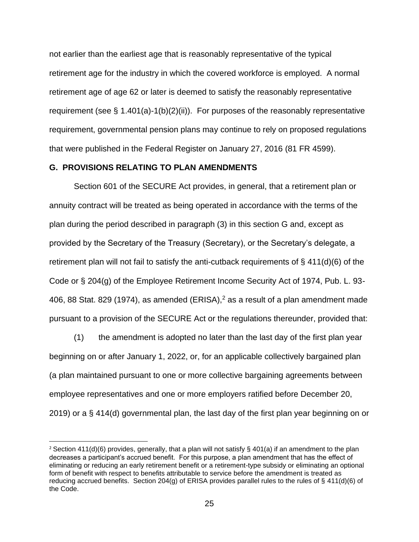not earlier than the earliest age that is reasonably representative of the typical retirement age for the industry in which the covered workforce is employed. A normal retirement age of age 62 or later is deemed to satisfy the reasonably representative requirement (see § 1.401(a)-1(b)(2)(ii)). For purposes of the reasonably representative requirement, governmental pension plans may continue to rely on proposed regulations that were published in the Federal Register on January 27, 2016 (81 FR 4599).

# **G. PROVISIONS RELATING TO PLAN AMENDMENTS**

Section 601 of the SECURE Act provides, in general, that a retirement plan or annuity contract will be treated as being operated in accordance with the terms of the plan during the period described in paragraph (3) in this section G and, except as provided by the Secretary of the Treasury (Secretary), or the Secretary's delegate, a retirement plan will not fail to satisfy the anti-cutback requirements of § 411(d)(6) of the Code or § 204(g) of the Employee Retirement Income Security Act of 1974, Pub. L. 93- 406, 88 Stat. 829 (1974), as amended (ERISA), $<sup>2</sup>$  as a result of a plan amendment made</sup> pursuant to a provision of the SECURE Act or the regulations thereunder, provided that:

(1) the amendment is adopted no later than the last day of the first plan year beginning on or after January 1, 2022, or, for an applicable collectively bargained plan (a plan maintained pursuant to one or more collective bargaining agreements between employee representatives and one or more employers ratified before December 20, 2019) or a § 414(d) governmental plan, the last day of the first plan year beginning on or

<sup>&</sup>lt;sup>2</sup> Section 411(d)(6) provides, generally, that a plan will not satisfy § 401(a) if an amendment to the plan decreases a participant's accrued benefit. For this purpose, a plan amendment that has the effect of eliminating or reducing an early retirement benefit or a retirement-type subsidy or eliminating an optional form of benefit with respect to benefits attributable to service before the amendment is treated as reducing accrued benefits. Section 204(g) of ERISA provides parallel rules to the rules of § 411(d)(6) of the Code.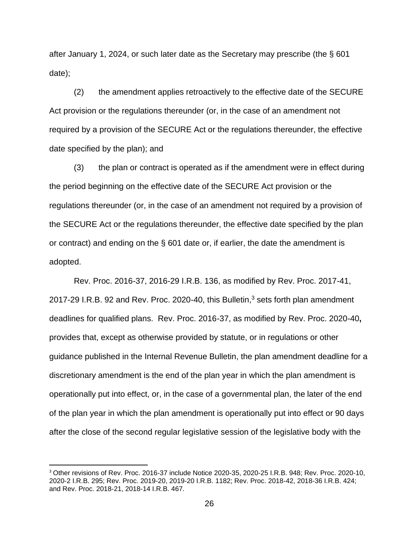after January 1, 2024, or such later date as the Secretary may prescribe (the § 601 date);

(2) the amendment applies retroactively to the effective date of the SECURE Act provision or the regulations thereunder (or, in the case of an amendment not required by a provision of the SECURE Act or the regulations thereunder, the effective date specified by the plan); and

(3) the plan or contract is operated as if the amendment were in effect during the period beginning on the effective date of the SECURE Act provision or the regulations thereunder (or, in the case of an amendment not required by a provision of the SECURE Act or the regulations thereunder, the effective date specified by the plan or contract) and ending on the § 601 date or, if earlier, the date the amendment is adopted.

Rev. Proc. 2016-37, 2016-29 I.R.B. 136, as modified by Rev. Proc. 2017-41, 2017-29 I.R.B. 92 and Rev. Proc. 2020-40, this Bulletin, <sup>3</sup> sets forth plan amendment deadlines for qualified plans. Rev. Proc. 2016-37, as modified by Rev. Proc. 2020-40**,**  provides that, except as otherwise provided by statute, or in regulations or other guidance published in the Internal Revenue Bulletin, the plan amendment deadline for a discretionary amendment is the end of the plan year in which the plan amendment is operationally put into effect, or, in the case of a governmental plan, the later of the end of the plan year in which the plan amendment is operationally put into effect or 90 days after the close of the second regular legislative session of the legislative body with the

<sup>3</sup> Other revisions of Rev. Proc. 2016-37 include Notice 2020-35, 2020-25 I.R.B. 948; Rev. Proc. 2020-10, 2020-2 I.R.B. 295; Rev. Proc. 2019-20, 2019-20 I.R.B. 1182; Rev. Proc. 2018-42, 2018-36 I.R.B. 424; and Rev. Proc. 2018-21, 2018-14 I.R.B. 467.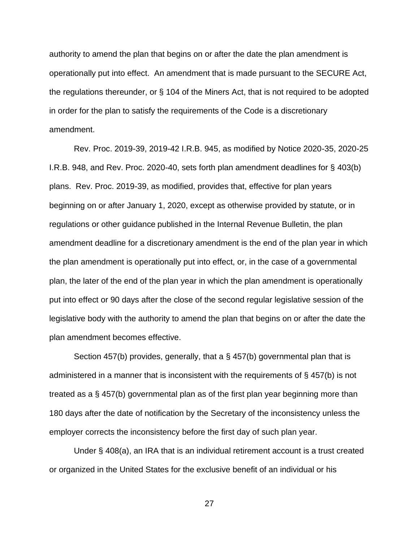authority to amend the plan that begins on or after the date the plan amendment is operationally put into effect. An amendment that is made pursuant to the SECURE Act, the regulations thereunder, or § 104 of the Miners Act, that is not required to be adopted in order for the plan to satisfy the requirements of the Code is a discretionary amendment.

Rev. Proc. 2019-39, 2019-42 I.R.B. 945, as modified by Notice 2020-35, 2020-25 I.R.B. 948, and Rev. Proc. 2020-40, sets forth plan amendment deadlines for § 403(b) plans. Rev. Proc. 2019-39, as modified, provides that, effective for plan years beginning on or after January 1, 2020, except as otherwise provided by statute, or in regulations or other guidance published in the Internal Revenue Bulletin, the plan amendment deadline for a discretionary amendment is the end of the plan year in which the plan amendment is operationally put into effect, or, in the case of a governmental plan, the later of the end of the plan year in which the plan amendment is operationally put into effect or 90 days after the close of the second regular legislative session of the legislative body with the authority to amend the plan that begins on or after the date the plan amendment becomes effective.

Section 457(b) provides, generally, that a § 457(b) governmental plan that is administered in a manner that is inconsistent with the requirements of § 457(b) is not treated as a § 457(b) governmental plan as of the first plan year beginning more than 180 days after the date of notification by the Secretary of the inconsistency unless the employer corrects the inconsistency before the first day of such plan year.

Under § 408(a), an IRA that is an individual retirement account is a trust created or organized in the United States for the exclusive benefit of an individual or his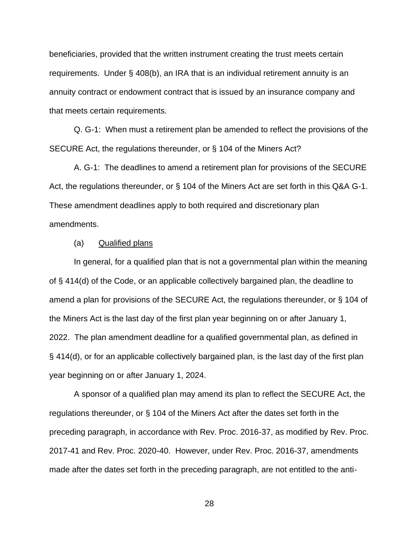beneficiaries, provided that the written instrument creating the trust meets certain requirements. Under § 408(b), an IRA that is an individual retirement annuity is an annuity contract or endowment contract that is issued by an insurance company and that meets certain requirements.

Q. G-1: When must a retirement plan be amended to reflect the provisions of the SECURE Act, the regulations thereunder, or § 104 of the Miners Act?

A. G-1: The deadlines to amend a retirement plan for provisions of the SECURE Act, the regulations thereunder, or § 104 of the Miners Act are set forth in this Q&A G-1. These amendment deadlines apply to both required and discretionary plan amendments.

## (a) Qualified plans

In general, for a qualified plan that is not a governmental plan within the meaning of § 414(d) of the Code, or an applicable collectively bargained plan, the deadline to amend a plan for provisions of the SECURE Act, the regulations thereunder, or § 104 of the Miners Act is the last day of the first plan year beginning on or after January 1, 2022. The plan amendment deadline for a qualified governmental plan, as defined in § 414(d), or for an applicable collectively bargained plan, is the last day of the first plan year beginning on or after January 1, 2024.

A sponsor of a qualified plan may amend its plan to reflect the SECURE Act, the regulations thereunder, or § 104 of the Miners Act after the dates set forth in the preceding paragraph, in accordance with Rev. Proc. 2016-37, as modified by Rev. Proc. 2017-41 and Rev. Proc. 2020-40. However, under Rev. Proc. 2016-37, amendments made after the dates set forth in the preceding paragraph, are not entitled to the anti-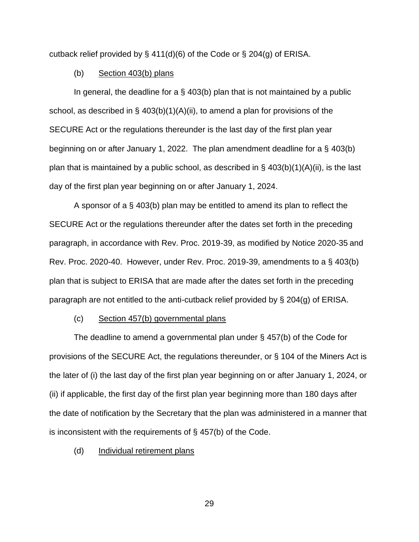cutback relief provided by § 411(d)(6) of the Code or § 204(g) of ERISA.

#### (b) Section 403(b) plans

In general, the deadline for a  $\S$  403(b) plan that is not maintained by a public school, as described in § 403(b)(1)(A)(ii), to amend a plan for provisions of the SECURE Act or the regulations thereunder is the last day of the first plan year beginning on or after January 1, 2022. The plan amendment deadline for a § 403(b) plan that is maintained by a public school, as described in  $\S$  403(b)(1)(A)(ii), is the last day of the first plan year beginning on or after January 1, 2024.

A sponsor of a § 403(b) plan may be entitled to amend its plan to reflect the SECURE Act or the regulations thereunder after the dates set forth in the preceding paragraph, in accordance with Rev. Proc. 2019-39, as modified by Notice 2020-35 and Rev. Proc. 2020-40. However, under Rev. Proc. 2019-39, amendments to a § 403(b) plan that is subject to ERISA that are made after the dates set forth in the preceding paragraph are not entitled to the anti-cutback relief provided by § 204(g) of ERISA.

# (c) Section 457(b) governmental plans

The deadline to amend a governmental plan under § 457(b) of the Code for provisions of the SECURE Act, the regulations thereunder, or § 104 of the Miners Act is the later of (i) the last day of the first plan year beginning on or after January 1, 2024, or (ii) if applicable, the first day of the first plan year beginning more than 180 days after the date of notification by the Secretary that the plan was administered in a manner that is inconsistent with the requirements of § 457(b) of the Code.

## (d) Individual retirement plans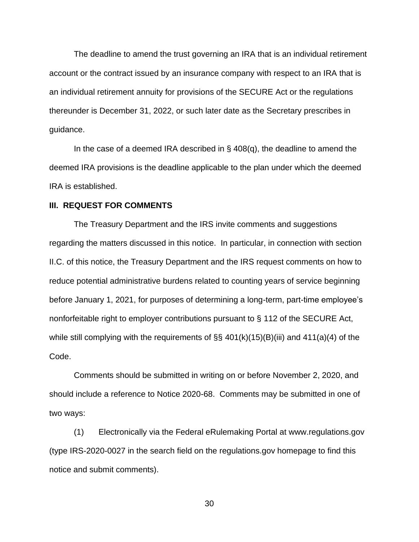The deadline to amend the trust governing an IRA that is an individual retirement account or the contract issued by an insurance company with respect to an IRA that is an individual retirement annuity for provisions of the SECURE Act or the regulations thereunder is December 31, 2022, or such later date as the Secretary prescribes in guidance.

In the case of a deemed IRA described in § 408(q), the deadline to amend the deemed IRA provisions is the deadline applicable to the plan under which the deemed IRA is established.

#### **III. REQUEST FOR COMMENTS**

The Treasury Department and the IRS invite comments and suggestions regarding the matters discussed in this notice. In particular, in connection with section II.C. of this notice, the Treasury Department and the IRS request comments on how to reduce potential administrative burdens related to counting years of service beginning before January 1, 2021, for purposes of determining a long-term, part-time employee's nonforfeitable right to employer contributions pursuant to § 112 of the SECURE Act, while still complying with the requirements of  $\S$ § 401(k)(15)(B)(iii) and 411(a)(4) of the Code.

Comments should be submitted in writing on or before November 2, 2020, and should include a reference to Notice 2020-68. Comments may be submitted in one of two ways:

(1) Electronically via the Federal eRulemaking Portal at www.regulations.gov (type IRS-2020-0027 in the search field on the regulations.gov homepage to find this notice and submit comments).